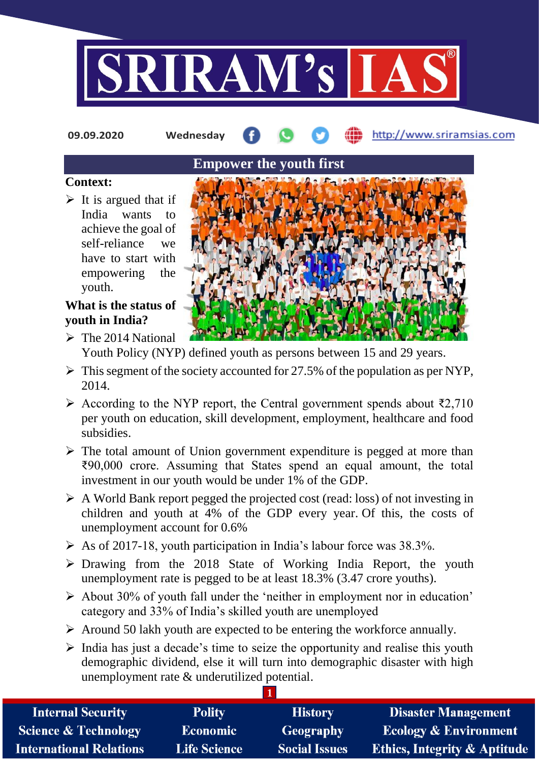

**09.09.2020 Wednesday**

http://www.sriramsias.com

### **Context:**

 $\triangleright$  It is argued that if India wants to achieve the goal of self-reliance we have to start with empowering the youth.

# **What is the status of youth in India?**

- $\triangleright$  The 2014 National Youth Policy (NYP) defined youth as persons between 15 and 29 years.
- $\triangleright$  This segment of the society accounted for 27.5% of the population as per NYP, 2014.
- According to the NYP report, the Central government spends about ₹2,710 per youth on education, skill development, employment, healthcare and food subsidies.
- $\triangleright$  The total amount of Union government expenditure is pegged at more than ₹90,000 crore. Assuming that States spend an equal amount, the total investment in our youth would be under 1% of the GDP.
- $\triangleright$  A World Bank report pegged the projected cost (read: loss) of not investing in children and youth at 4% of the GDP every year. Of this, the costs of unemployment account for 0.6%
- $\triangleright$  As of 2017-18, youth participation in India's labour force was 38.3%.
- $\triangleright$  Drawing from the 2018 State of Working India Report, the youth unemployment rate is pegged to be at least 18.3% (3.47 crore youths).
- $\triangleright$  About 30% of youth fall under the 'neither in employment nor in education' category and 33% of India's skilled youth are unemployed
- $\triangleright$  Around 50 lakh youth are expected to be entering the workforce annually.
- $\triangleright$  India has just a decade's time to seize the opportunity and realise this youth demographic dividend, else it will turn into demographic disaster with high unemployment rate & underutilized potential.

| <b>Internal Security</b>        | <b>Polity</b>       | <b>History</b>       | <b>Disaster Management</b>              |
|---------------------------------|---------------------|----------------------|-----------------------------------------|
| <b>Science &amp; Technology</b> | <b>Economic</b>     | <b>Geography</b>     | <b>Ecology &amp; Environment</b>        |
| International Relations         | <b>Life Science</b> | <b>Social Issues</b> | <b>Ethics, Integrity &amp; Aptitude</b> |